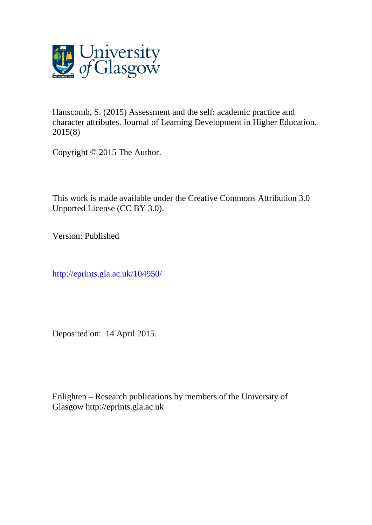

Hanscomb, S. (2015) Assessment and the self: academic practice and character attributes. Journal of Learning Development in Higher Education, 2015(8)

Copyright © 2015 The Author.

This work is made available under the Creative Commons Attribution 3.0 Unported License (CC BY 3.0).

Version: Published

<http://eprints.gla.ac.uk/104950/>

Deposited on: 14 April 2015.

Enlighten – Research publications by members of the University of Glasgow [http://eprints.gla.ac.uk](http://eprints.gla.ac.uk/)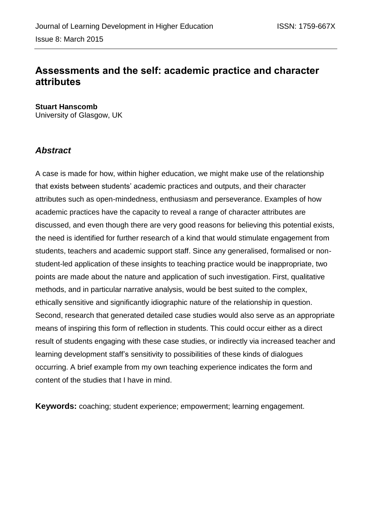# **Assessments and the self: academic practice and character attributes**

**Stuart Hanscomb** University of Glasgow, UK

## *Abstract*

A case is made for how, within higher education, we might make use of the relationship that exists between students' academic practices and outputs, and their character attributes such as open-mindedness, enthusiasm and perseverance. Examples of how academic practices have the capacity to reveal a range of character attributes are discussed, and even though there are very good reasons for believing this potential exists, the need is identified for further research of a kind that would stimulate engagement from students, teachers and academic support staff. Since any generalised, formalised or nonstudent-led application of these insights to teaching practice would be inappropriate, two points are made about the nature and application of such investigation. First, qualitative methods, and in particular narrative analysis, would be best suited to the complex, ethically sensitive and significantly idiographic nature of the relationship in question. Second, research that generated detailed case studies would also serve as an appropriate means of inspiring this form of reflection in students. This could occur either as a direct result of students engaging with these case studies, or indirectly via increased teacher and learning development staff's sensitivity to possibilities of these kinds of dialogues occurring. A brief example from my own teaching experience indicates the form and content of the studies that I have in mind.

**Keywords:** coaching; student experience; empowerment; learning engagement.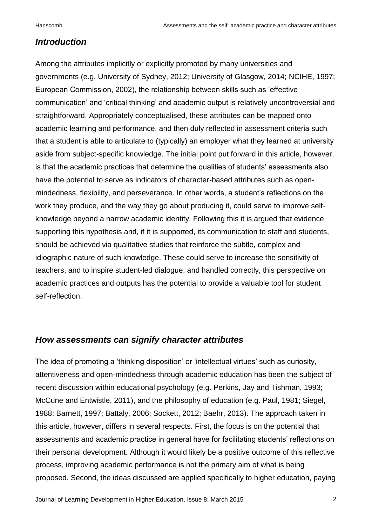#### *Introduction*

Among the attributes implicitly or explicitly promoted by many universities and governments (e.g. University of Sydney, 2012; University of Glasgow, 2014; NCIHE, 1997; European Commission, 2002), the relationship between skills such as 'effective communication' and 'critical thinking' and academic output is relatively uncontroversial and straightforward. Appropriately conceptualised, these attributes can be mapped onto academic learning and performance, and then duly reflected in assessment criteria such that a student is able to articulate to (typically) an employer what they learned at university aside from subject-specific knowledge. The initial point put forward in this article, however, is that the academic practices that determine the qualities of students' assessments also have the potential to serve as indicators of character-based attributes such as openmindedness, flexibility, and perseverance. In other words, a student's reflections on the work they produce, and the way they go about producing it, could serve to improve selfknowledge beyond a narrow academic identity. Following this it is argued that evidence supporting this hypothesis and, if it is supported, its communication to staff and students, should be achieved via qualitative studies that reinforce the subtle, complex and idiographic nature of such knowledge. These could serve to increase the sensitivity of teachers, and to inspire student-led dialogue, and handled correctly, this perspective on academic practices and outputs has the potential to provide a valuable tool for student self-reflection.

#### *How assessments can signify character attributes*

The idea of promoting a 'thinking disposition' or 'intellectual virtues' such as curiosity, attentiveness and open-mindedness through academic education has been the subject of recent discussion within educational psychology (e.g. Perkins, Jay and Tishman, 1993; McCune and Entwistle, 2011), and the philosophy of education (e.g. Paul, 1981; Siegel, 1988; Barnett, 1997; Battaly, 2006; Sockett, 2012; Baehr, 2013). The approach taken in this article, however, differs in several respects. First, the focus is on the potential that assessments and academic practice in general have for facilitating students' reflections on their personal development. Although it would likely be a positive outcome of this reflective process, improving academic performance is not the primary aim of what is being proposed. Second, the ideas discussed are applied specifically to higher education, paying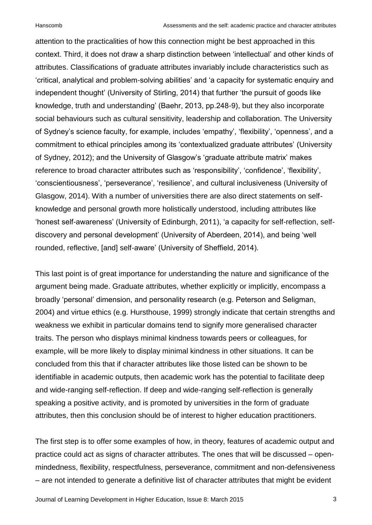attention to the practicalities of how this connection might be best approached in this context. Third, it does not draw a sharp distinction between 'intellectual' and other kinds of attributes. Classifications of graduate attributes invariably include characteristics such as 'critical, analytical and problem-solving abilities' and 'a capacity for systematic enquiry and independent thought' (University of Stirling, 2014) that further 'the pursuit of goods like knowledge, truth and understanding' (Baehr, 2013, pp.248-9), but they also incorporate social behaviours such as cultural sensitivity, leadership and collaboration. The University of Sydney's science faculty, for example, includes 'empathy', 'flexibility', 'openness', and a commitment to ethical principles among its 'contextualized graduate attributes' (University of Sydney, 2012); and the University of Glasgow's 'graduate attribute matrix' makes reference to broad character attributes such as 'responsibility', 'confidence', 'flexibility', 'conscientiousness', 'perseverance', 'resilience', and cultural inclusiveness (University of Glasgow, 2014). With a number of universities there are also direct statements on selfknowledge and personal growth more holistically understood, including attributes like 'honest self-awareness' (University of Edinburgh, 2011), 'a capacity for self-reflection, selfdiscovery and personal development' (University of Aberdeen, 2014), and being 'well rounded, reflective, [and] self-aware' (University of Sheffield, 2014).

This last point is of great importance for understanding the nature and significance of the argument being made. Graduate attributes, whether explicitly or implicitly, encompass a broadly 'personal' dimension, and personality research (e.g. Peterson and Seligman, 2004) and virtue ethics (e.g. Hursthouse, 1999) strongly indicate that certain strengths and weakness we exhibit in particular domains tend to signify more generalised character traits. The person who displays minimal kindness towards peers or colleagues, for example, will be more likely to display minimal kindness in other situations. It can be concluded from this that if character attributes like those listed can be shown to be identifiable in academic outputs, then academic work has the potential to facilitate deep and wide-ranging self-reflection. If deep and wide-ranging self-reflection is generally speaking a positive activity, and is promoted by universities in the form of graduate attributes, then this conclusion should be of interest to higher education practitioners.

The first step is to offer some examples of how, in theory, features of academic output and practice could act as signs of character attributes. The ones that will be discussed – openmindedness, flexibility, respectfulness, perseverance, commitment and non-defensiveness – are not intended to generate a definitive list of character attributes that might be evident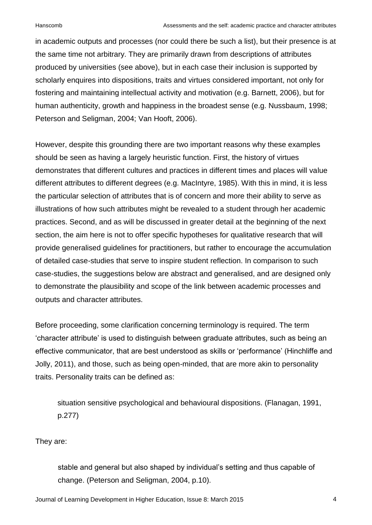in academic outputs and processes (nor could there be such a list), but their presence is at the same time not arbitrary. They are primarily drawn from descriptions of attributes produced by universities (see above), but in each case their inclusion is supported by scholarly enquires into dispositions, traits and virtues considered important, not only for fostering and maintaining intellectual activity and motivation (e.g. Barnett, 2006), but for human authenticity, growth and happiness in the broadest sense (e.g. Nussbaum, 1998; Peterson and Seligman, 2004; Van Hooft, 2006).

However, despite this grounding there are two important reasons why these examples should be seen as having a largely heuristic function. First, the history of virtues demonstrates that different cultures and practices in different times and places will value different attributes to different degrees (e.g. MacIntyre, 1985). With this in mind, it is less the particular selection of attributes that is of concern and more their ability to serve as illustrations of how such attributes might be revealed to a student through her academic practices. Second, and as will be discussed in greater detail at the beginning of the next section, the aim here is not to offer specific hypotheses for qualitative research that will provide generalised guidelines for practitioners, but rather to encourage the accumulation of detailed case-studies that serve to inspire student reflection. In comparison to such case-studies, the suggestions below are abstract and generalised, and are designed only to demonstrate the plausibility and scope of the link between academic processes and outputs and character attributes.

Before proceeding, some clarification concerning terminology is required. The term 'character attribute' is used to distinguish between graduate attributes, such as being an effective communicator, that are best understood as skills or 'performance' (Hinchliffe and Jolly, 2011), and those, such as being open-minded, that are more akin to personality traits. Personality traits can be defined as:

situation sensitive psychological and behavioural dispositions. (Flanagan, 1991, p.277)

They are:

stable and general but also shaped by individual's setting and thus capable of change. (Peterson and Seligman, 2004, p.10).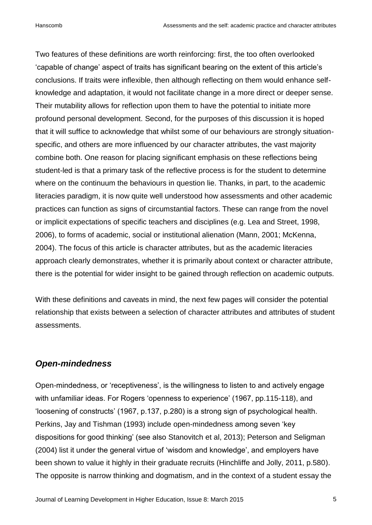Two features of these definitions are worth reinforcing: first, the too often overlooked 'capable of change' aspect of traits has significant bearing on the extent of this article's conclusions. If traits were inflexible, then although reflecting on them would enhance selfknowledge and adaptation, it would not facilitate change in a more direct or deeper sense. Their mutability allows for reflection upon them to have the potential to initiate more profound personal development. Second, for the purposes of this discussion it is hoped that it will suffice to acknowledge that whilst some of our behaviours are strongly situationspecific, and others are more influenced by our character attributes, the vast majority combine both. One reason for placing significant emphasis on these reflections being student-led is that a primary task of the reflective process is for the student to determine where on the continuum the behaviours in question lie. Thanks, in part, to the academic literacies paradigm, it is now quite well understood how assessments and other academic practices can function as signs of circumstantial factors. These can range from the novel or implicit expectations of specific teachers and disciplines (e.g. Lea and Street, 1998, 2006), to forms of academic, social or institutional alienation (Mann, 2001; McKenna, 2004). The focus of this article is character attributes, but as the academic literacies approach clearly demonstrates, whether it is primarily about context or character attribute, there is the potential for wider insight to be gained through reflection on academic outputs.

With these definitions and caveats in mind, the next few pages will consider the potential relationship that exists between a selection of character attributes and attributes of student assessments.

### *Open-mindedness*

Open-mindedness, or 'receptiveness', is the willingness to listen to and actively engage with unfamiliar ideas. For Rogers 'openness to experience' (1967, pp.115-118), and 'loosening of constructs' (1967, p.137, p.280) is a strong sign of psychological health. Perkins, Jay and Tishman (1993) include open-mindedness among seven 'key dispositions for good thinking' (see also Stanovitch et al, 2013); Peterson and Seligman (2004) list it under the general virtue of 'wisdom and knowledge', and employers have been shown to value it highly in their graduate recruits (Hinchliffe and Jolly, 2011, p.580). The opposite is narrow thinking and dogmatism, and in the context of a student essay the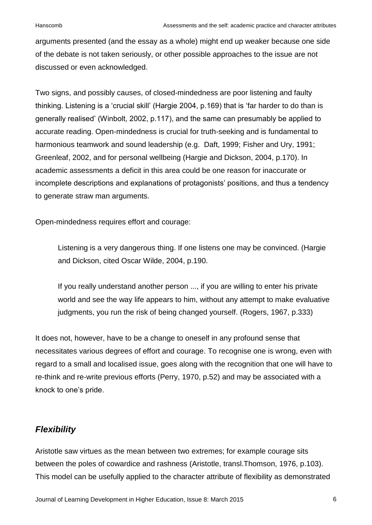arguments presented (and the essay as a whole) might end up weaker because one side of the debate is not taken seriously, or other possible approaches to the issue are not discussed or even acknowledged.

Two signs, and possibly causes, of closed-mindedness are poor listening and faulty thinking. Listening is a 'crucial skill' (Hargie 2004, p.169) that is 'far harder to do than is generally realised' (Winbolt, 2002, p.117), and the same can presumably be applied to accurate reading. Open-mindedness is crucial for truth-seeking and is fundamental to harmonious teamwork and sound leadership (e.g. Daft, 1999; Fisher and Ury, 1991; Greenleaf, 2002, and for personal wellbeing (Hargie and Dickson, 2004, p.170). In academic assessments a deficit in this area could be one reason for inaccurate or incomplete descriptions and explanations of protagonists' positions, and thus a tendency to generate straw man arguments.

Open-mindedness requires effort and courage:

Listening is a very dangerous thing. If one listens one may be convinced. (Hargie and Dickson, cited Oscar Wilde, 2004, p.190.

If you really understand another person ..., if you are willing to enter his private world and see the way life appears to him, without any attempt to make evaluative judgments, you run the risk of being changed yourself. (Rogers, 1967, p.333)

It does not, however, have to be a change to oneself in any profound sense that necessitates various degrees of effort and courage. To recognise one is wrong, even with regard to a small and localised issue, goes along with the recognition that one will have to re-think and re-write previous efforts (Perry, 1970, p.52) and may be associated with a knock to one's pride.

## *Flexibility*

Aristotle saw virtues as the mean between two extremes; for example courage sits between the poles of cowardice and rashness (Aristotle, transl.Thomson, 1976, p.103). This model can be usefully applied to the character attribute of flexibility as demonstrated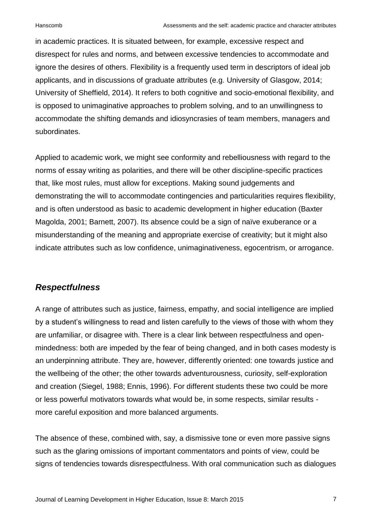in academic practices. It is situated between, for example, excessive respect and disrespect for rules and norms, and between excessive tendencies to accommodate and ignore the desires of others. Flexibility is a frequently used term in descriptors of ideal job applicants, and in discussions of graduate attributes (e.g. University of Glasgow, 2014; University of Sheffield, 2014). It refers to both cognitive and socio-emotional flexibility, and is opposed to unimaginative approaches to problem solving, and to an unwillingness to accommodate the shifting demands and idiosyncrasies of team members, managers and subordinates.

Applied to academic work, we might see conformity and rebelliousness with regard to the norms of essay writing as polarities, and there will be other discipline-specific practices that, like most rules, must allow for exceptions. Making sound judgements and demonstrating the will to accommodate contingencies and particularities requires flexibility, and is often understood as basic to academic development in higher education (Baxter Magolda, 2001; Barnett, 2007). Its absence could be a sign of naïve exuberance or a misunderstanding of the meaning and appropriate exercise of creativity; but it might also indicate attributes such as low confidence, unimaginativeness, egocentrism, or arrogance.

## *Respectfulness*

A range of attributes such as justice, fairness, empathy, and social intelligence are implied by a student's willingness to read and listen carefully to the views of those with whom they are unfamiliar, or disagree with. There is a clear link between respectfulness and openmindedness: both are impeded by the fear of being changed, and in both cases modesty is an underpinning attribute. They are, however, differently oriented: one towards justice and the wellbeing of the other; the other towards adventurousness, curiosity, self-exploration and creation (Siegel, 1988; Ennis, 1996). For different students these two could be more or less powerful motivators towards what would be, in some respects, similar results more careful exposition and more balanced arguments.

The absence of these, combined with, say, a dismissive tone or even more passive signs such as the glaring omissions of important commentators and points of view, could be signs of tendencies towards disrespectfulness. With oral communication such as dialogues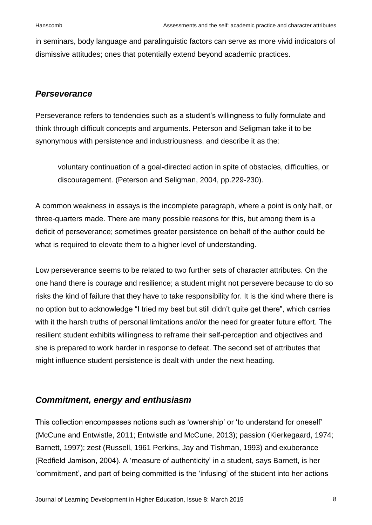in seminars, body language and paralinguistic factors can serve as more vivid indicators of dismissive attitudes; ones that potentially extend beyond academic practices.

#### *Perseverance*

Perseverance refers to tendencies such as a student's willingness to fully formulate and think through difficult concepts and arguments. Peterson and Seligman take it to be synonymous with persistence and industriousness, and describe it as the:

voluntary continuation of a goal-directed action in spite of obstacles, difficulties, or discouragement. (Peterson and Seligman, 2004, pp.229-230).

A common weakness in essays is the incomplete paragraph, where a point is only half, or three-quarters made. There are many possible reasons for this, but among them is a deficit of perseverance; sometimes greater persistence on behalf of the author could be what is required to elevate them to a higher level of understanding.

Low perseverance seems to be related to two further sets of character attributes. On the one hand there is courage and resilience; a student might not persevere because to do so risks the kind of failure that they have to take responsibility for. It is the kind where there is no option but to acknowledge "I tried my best but still didn't quite get there", which carries with it the harsh truths of personal limitations and/or the need for greater future effort. The resilient student exhibits willingness to reframe their self-perception and objectives and she is prepared to work harder in response to defeat. The second set of attributes that might influence student persistence is dealt with under the next heading.

### *Commitment, energy and enthusiasm*

This collection encompasses notions such as 'ownership' or 'to understand for oneself' (McCune and Entwistle, 2011; Entwistle and McCune, 2013); passion (Kierkegaard, 1974; Barnett, 1997); zest (Russell, 1961 Perkins, Jay and Tishman, 1993) and exuberance (Redfield Jamison, 2004). A 'measure of authenticity' in a student, says Barnett, is her 'commitment', and part of being committed is the 'infusing' of the student into her actions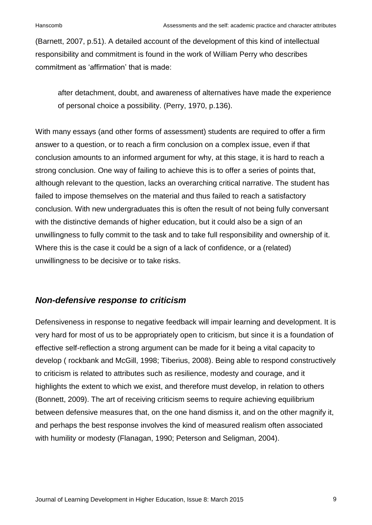(Barnett, 2007, p.51). A detailed account of the development of this kind of intellectual responsibility and commitment is found in the work of William Perry who describes commitment as 'affirmation' that is made:

after detachment, doubt, and awareness of alternatives have made the experience of personal choice a possibility. (Perry, 1970, p.136).

With many essays (and other forms of assessment) students are required to offer a firm answer to a question, or to reach a firm conclusion on a complex issue, even if that conclusion amounts to an informed argument for why, at this stage, it is hard to reach a strong conclusion. One way of failing to achieve this is to offer a series of points that, although relevant to the question, lacks an overarching critical narrative. The student has failed to impose themselves on the material and thus failed to reach a satisfactory conclusion. With new undergraduates this is often the result of not being fully conversant with the distinctive demands of higher education, but it could also be a sign of an unwillingness to fully commit to the task and to take full responsibility and ownership of it. Where this is the case it could be a sign of a lack of confidence, or a (related) unwillingness to be decisive or to take risks.

### *Non-defensive response to criticism*

Defensiveness in response to negative feedback will impair learning and development. It is very hard for most of us to be appropriately open to criticism, but since it is a foundation of effective self-reflection a strong argument can be made for it being a vital capacity to develop ( rockbank and McGill, 1998; Tiberius, 2008). Being able to respond constructively to criticism is related to attributes such as resilience, modesty and courage, and it highlights the extent to which we exist, and therefore must develop, in relation to others (Bonnett, 2009). The art of receiving criticism seems to require achieving equilibrium between defensive measures that, on the one hand dismiss it, and on the other magnify it, and perhaps the best response involves the kind of measured realism often associated with humility or modesty (Flanagan, 1990; Peterson and Seligman, 2004).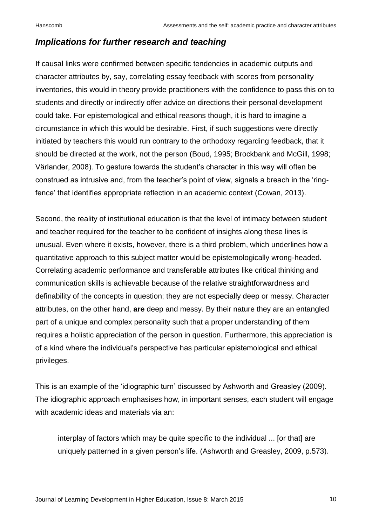#### *Implications for further research and teaching*

If causal links were confirmed between specific tendencies in academic outputs and character attributes by, say, correlating essay feedback with scores from personality inventories, this would in theory provide practitioners with the confidence to pass this on to students and directly or indirectly offer advice on directions their personal development could take. For epistemological and ethical reasons though, it is hard to imagine a circumstance in which this would be desirable. First, if such suggestions were directly initiated by teachers this would run contrary to the orthodoxy regarding feedback, that it should be directed at the work, not the person (Boud, 1995; Brockbank and McGill, 1998; Värlander, 2008). To gesture towards the student's character in this way will often be construed as intrusive and, from the teacher's point of view, signals a breach in the 'ringfence' that identifies appropriate reflection in an academic context (Cowan, 2013).

Second, the reality of institutional education is that the level of intimacy between student and teacher required for the teacher to be confident of insights along these lines is unusual. Even where it exists, however, there is a third problem, which underlines how a quantitative approach to this subject matter would be epistemologically wrong-headed. Correlating academic performance and transferable attributes like critical thinking and communication skills is achievable because of the relative straightforwardness and definability of the concepts in question; they are not especially deep or messy. Character attributes, on the other hand, **are** deep and messy. By their nature they are an entangled part of a unique and complex personality such that a proper understanding of them requires a holistic appreciation of the person in question. Furthermore, this appreciation is of a kind where the individual's perspective has particular epistemological and ethical privileges.

This is an example of the 'idiographic turn' discussed by Ashworth and Greasley (2009). The idiographic approach emphasises how, in important senses, each student will engage with academic ideas and materials via an:

interplay of factors which may be quite specific to the individual ... [or that] are uniquely patterned in a given person's life. (Ashworth and Greasley, 2009, p.573).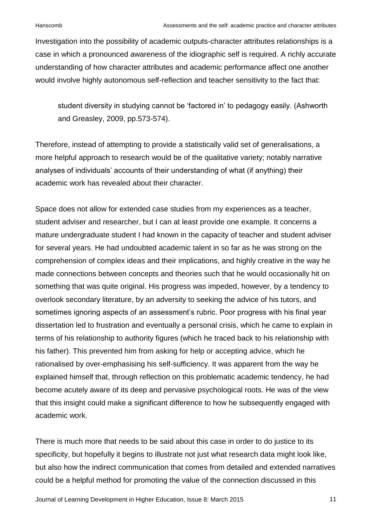Investigation into the possibility of academic outputs-character attributes relationships is a case in which a pronounced awareness of the idiographic self is required. A richly accurate understanding of how character attributes and academic performance affect one another would involve highly autonomous self-reflection and teacher sensitivity to the fact that:

student diversity in studying cannot be 'factored in' to pedagogy easily. (Ashworth and Greasley, 2009, pp.573-574).

Therefore, instead of attempting to provide a statistically valid set of generalisations, a more helpful approach to research would be of the qualitative variety; notably narrative analyses of individuals' accounts of their understanding of what (if anything) their academic work has revealed about their character.

Space does not allow for extended case studies from my experiences as a teacher, student adviser and researcher, but I can at least provide one example. It concerns a mature undergraduate student I had known in the capacity of teacher and student adviser for several years. He had undoubted academic talent in so far as he was strong on the comprehension of complex ideas and their implications, and highly creative in the way he made connections between concepts and theories such that he would occasionally hit on something that was quite original. His progress was impeded, however, by a tendency to overlook secondary literature, by an adversity to seeking the advice of his tutors, and sometimes ignoring aspects of an assessment's rubric. Poor progress with his final year dissertation led to frustration and eventually a personal crisis, which he came to explain in terms of his relationship to authority figures (which he traced back to his relationship with his father). This prevented him from asking for help or accepting advice, which he rationalised by over-emphasising his self-sufficiency. It was apparent from the way he explained himself that, through reflection on this problematic academic tendency, he had become acutely aware of its deep and pervasive psychological roots. He was of the view that this insight could make a significant difference to how he subsequently engaged with academic work.

There is much more that needs to be said about this case in order to do justice to its specificity, but hopefully it begins to illustrate not just what research data might look like, but also how the indirect communication that comes from detailed and extended narratives could be a helpful method for promoting the value of the connection discussed in this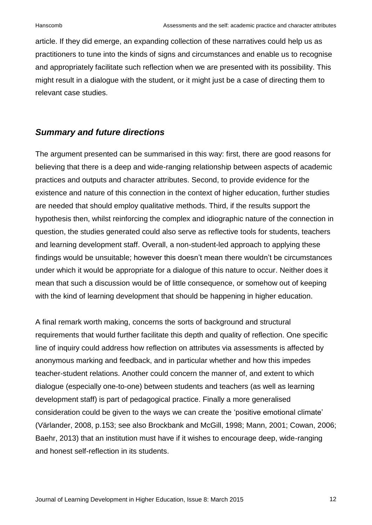article. If they did emerge, an expanding collection of these narratives could help us as practitioners to tune into the kinds of signs and circumstances and enable us to recognise and appropriately facilitate such reflection when we are presented with its possibility. This might result in a dialogue with the student, or it might just be a case of directing them to relevant case studies.

#### *Summary and future directions*

The argument presented can be summarised in this way: first, there are good reasons for believing that there is a deep and wide-ranging relationship between aspects of academic practices and outputs and character attributes. Second, to provide evidence for the existence and nature of this connection in the context of higher education, further studies are needed that should employ qualitative methods. Third, if the results support the hypothesis then, whilst reinforcing the complex and idiographic nature of the connection in question, the studies generated could also serve as reflective tools for students, teachers and learning development staff. Overall, a non-student-led approach to applying these findings would be unsuitable; however this doesn't mean there wouldn't be circumstances under which it would be appropriate for a dialogue of this nature to occur. Neither does it mean that such a discussion would be of little consequence, or somehow out of keeping with the kind of learning development that should be happening in higher education.

A final remark worth making, concerns the sorts of background and structural requirements that would further facilitate this depth and quality of reflection. One specific line of inquiry could address how reflection on attributes via assessments is affected by anonymous marking and feedback, and in particular whether and how this impedes teacher-student relations. Another could concern the manner of, and extent to which dialogue (especially one-to-one) between students and teachers (as well as learning development staff) is part of pedagogical practice. Finally a more generalised consideration could be given to the ways we can create the 'positive emotional climate' (Värlander, 2008, p.153; see also Brockbank and McGill, 1998; Mann, 2001; Cowan, 2006; Baehr, 2013) that an institution must have if it wishes to encourage deep, wide-ranging and honest self-reflection in its students.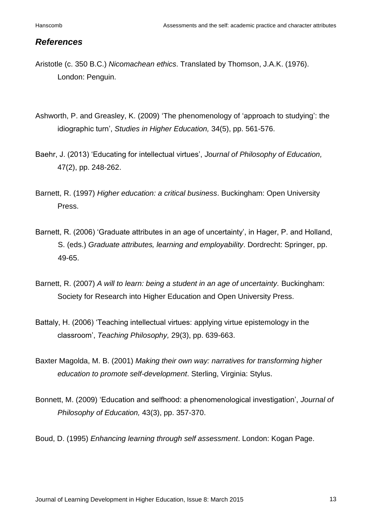#### *References*

- Aristotle (c. 350 B.C.) *Nicomachean ethics*. Translated by Thomson, J.A.K. (1976). London: Penguin.
- Ashworth, P. and Greasley, K. (2009) 'The phenomenology of 'approach to studying': the idiographic turn', *Studies in Higher Education,* 34(5), pp. 561-576.
- Baehr, J. (2013) 'Educating for intellectual virtues', *Journal of Philosophy of Education,* 47(2), pp. 248-262.
- Barnett, R. (1997) *Higher education: a critical business*. Buckingham: Open University Press.
- Barnett, R. (2006) 'Graduate attributes in an age of uncertainty', in Hager, P. and Holland, S. (eds.) *Graduate attributes, learning and employability*. Dordrecht: Springer, pp. 49-65.
- Barnett, R. (2007) A will to learn: being a student in an age of uncertainty. Buckingham: Society for Research into Higher Education and Open University Press.
- Battaly, H. (2006) 'Teaching intellectual virtues: applying virtue epistemology in the classroom', *Teaching Philosophy,* 29(3), pp. 639-663.
- Baxter Magolda, M. B. (2001) *Making their own way: narratives for transforming higher education to promote self-development*. Sterling, Virginia: Stylus.
- Bonnett, M. (2009) 'Education and selfhood: a phenomenological investigation', *Journal of Philosophy of Education,* 43(3), pp. 357-370.

Boud, D. (1995) *Enhancing learning through self assessment*. London: Kogan Page.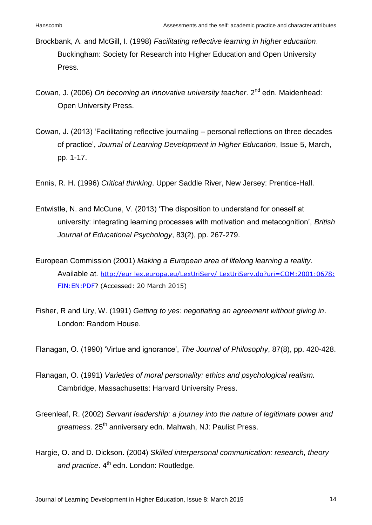- Brockbank, A. and McGill, I. (1998) *Facilitating reflective learning in higher education*. Buckingham: Society for Research into Higher Education and Open University Press.
- Cowan, J. (2006) On becoming an innovative university teacher. 2<sup>nd</sup> edn. Maidenhead: Open University Press.
- Cowan, J. (2013) 'Facilitating reflective journaling personal reflections on three decades of practice', *Journal of Learning Development in Higher Education*, Issue 5, March, pp. 1-17.
- Ennis, R. H. (1996) *Critical thinking*. Upper Saddle River, New Jersey: Prentice-Hall.
- Entwistle, N. and McCune, V. (2013) 'The disposition to understand for oneself at university: integrating learning processes with motivation and metacognition', *British Journal of Educational Psychology*, 83(2), pp. 267-279.
- European Commission (2001) *Making a European area of lifelong learning a reality*. Available at*.* http://eur lex.europa.eu/LexUriServ/ LexUriServ.do?uri=COM:2001:0678: FIN:EN:PDF? (Accessed: 20 March 2015)
- Fisher, R and Ury, W. (1991) *Getting to yes: negotiating an agreement without giving in*. London: Random House.

Flanagan, O. (1990) 'Virtue and ignorance', *The Journal of Philosophy*, 87(8), pp. 420-428.

- Flanagan, O. (1991) *Varieties of moral personality: ethics and psychological realism.*  Cambridge, Massachusetts: Harvard University Press.
- Greenleaf, R. (2002) *Servant leadership: a journey into the nature of legitimate power and*  greatness. 25<sup>th</sup> anniversary edn. Mahwah, NJ: Paulist Press.
- Hargie, O. and D. Dickson. (2004) *Skilled interpersonal communication: research, theory*  and practice. 4<sup>th</sup> edn. London: Routledge.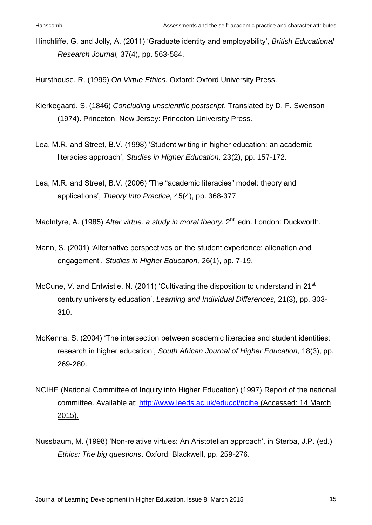Hinchliffe, G. and Jolly, A. (2011) 'Graduate identity and employability', *British Educational Research Journal,* 37(4), pp. 563-584.

Hursthouse, R. (1999) *On Virtue Ethics*. Oxford: Oxford University Press.

- Kierkegaard, S. (1846) *Concluding unscientific postscript*. Translated by D. F. Swenson (1974). Princeton, New Jersey: Princeton University Press.
- Lea, M.R. and Street, B.V. (1998) 'Student writing in higher education: an academic literacies approach', *Studies in Higher Education,* 23(2), pp. 157-172.
- Lea, M.R. and Street, B.V. (2006) 'The "academic literacies" model: theory and applications', *Theory Into Practice,* 45(4), pp. 368-377.
- MacIntyre, A. (1985) After virtue: a study in moral theory. 2<sup>nd</sup> edn. London: Duckworth.
- Mann, S. (2001) 'Alternative perspectives on the student experience: alienation and engagement', *Studies in Higher Education,* 26(1), pp. 7-19.
- McCune, V. and Entwistle, N. (2011) 'Cultivating the disposition to understand in 21<sup>st</sup> century university education', *Learning and Individual Differences,* 21(3), pp. 303- 310.
- McKenna, S. (2004) 'The intersection between academic literacies and student identities: research in higher education', *South African Journal of Higher Education,* 18(3), pp. 269-280.
- NCIHE (National Committee of Inquiry into Higher Education) (1997) Report of the national committee. Available at:<http://www.leeds.ac.uk/educol/ncihe> (Accessed: 14 March 2015).
- Nussbaum, M. (1998) 'Non-relative virtues: An Aristotelian approach', in Sterba, J.P. (ed.) *Ethics: The big questions*. Oxford: Blackwell, pp. 259-276.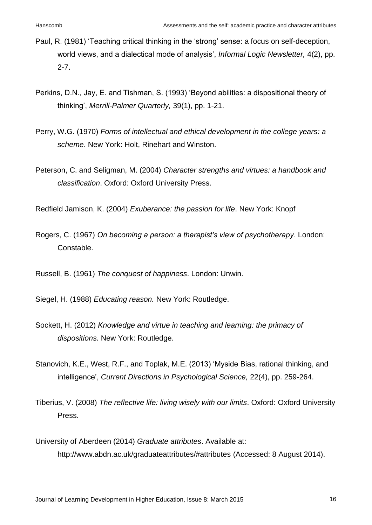- Paul, R. (1981) 'Teaching critical thinking in the 'strong' sense: a focus on self-deception, world views, and a dialectical mode of analysis', *Informal Logic Newsletter,* 4(2), pp. 2-7.
- Perkins, D.N., Jay, E. and Tishman, S. (1993) 'Beyond abilities: a dispositional theory of thinking', *Merrill-Palmer Quarterly,* 39(1), pp. 1-21.
- Perry, W.G. (1970) *Forms of intellectual and ethical development in the college years: a scheme*. New York: Holt, Rinehart and Winston.
- Peterson, C. and Seligman, M. (2004) *Character strengths and virtues: a handbook and classification*. Oxford: Oxford University Press.

Redfield Jamison, K. (2004) *Exuberance: the passion for life*. New York: Knopf

Rogers, C. (1967) *On becoming a person: a therapist's view of psychotherapy*. London: Constable.

Russell, B. (1961) *The conquest of happiness*. London: Unwin.

Siegel, H. (1988) *Educating reason.* New York: Routledge.

- Sockett, H. (2012) *Knowledge and virtue in teaching and learning: the primacy of dispositions.* New York: Routledge.
- Stanovich, K.E., West, R.F., and Toplak, M.E. (2013) 'Myside Bias, rational thinking, and intelligence', *Current Directions in Psychological Science,* 22(4), pp. 259-264.
- Tiberius, V. (2008) *The reflective life: living wisely with our limits*. Oxford: Oxford University Press.
- University of Aberdeen (2014) *Graduate attributes*. Available at: http://www.abdn.ac.uk/graduateattributes/#attributes (Accessed: 8 August 2014).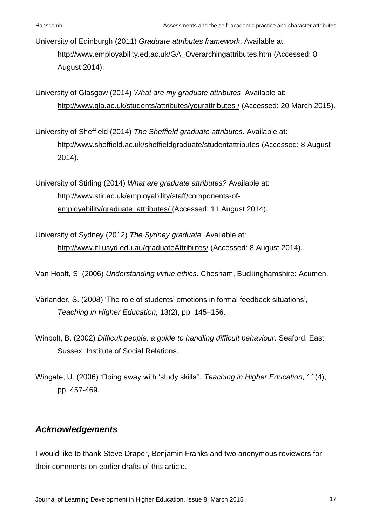University of Edinburgh (2011) *Graduate attributes framework*. Available at: http://www.employability.ed.ac.uk/GA\_Overarchingattributes.htm (Accessed: 8 August 2014).

University of Glasgow (2014) *What are my graduate attributes*. Available at: http://www.gla.ac.uk/students/attributes/yourattributes / (Accessed: 20 March 2015).

University of Sheffield (2014) *The Sheffield graduate attributes*. Available at: http://www.sheffield.ac.uk/sheffieldgraduate/studentattributes (Accessed: 8 August 2014).

University of Stirling (2014) *What are graduate attributes?* Available at: http://www.stir.ac.uk/employability/staff/components-ofemployability/graduate\_attributes/ (Accessed: 11 August 2014).

University of Sydney (2012) *The Sydney graduate.* Available at: http://www.itl.usyd.edu.au/graduateAttributes/ (Accessed: 8 August 2014).

Van Hooft, S. (2006) *Understanding virtue ethics*. Chesham, Buckinghamshire: Acumen.

- Värlander, S. (2008) 'The role of students' emotions in formal feedback situations', *Teaching in Higher Education,* 13(2), pp. 145–156.
- Winbolt, B. (2002) *Difficult people: a guide to handling difficult behaviour*. Seaford, East Sussex: Institute of Social Relations.
- Wingate, U. (2006) 'Doing away with 'study skills'', *Teaching in Higher Education,* 11(4), pp. 457-469.

### *Acknowledgements*

I would like to thank Steve Draper, Benjamin Franks and two anonymous reviewers for their comments on earlier drafts of this article.